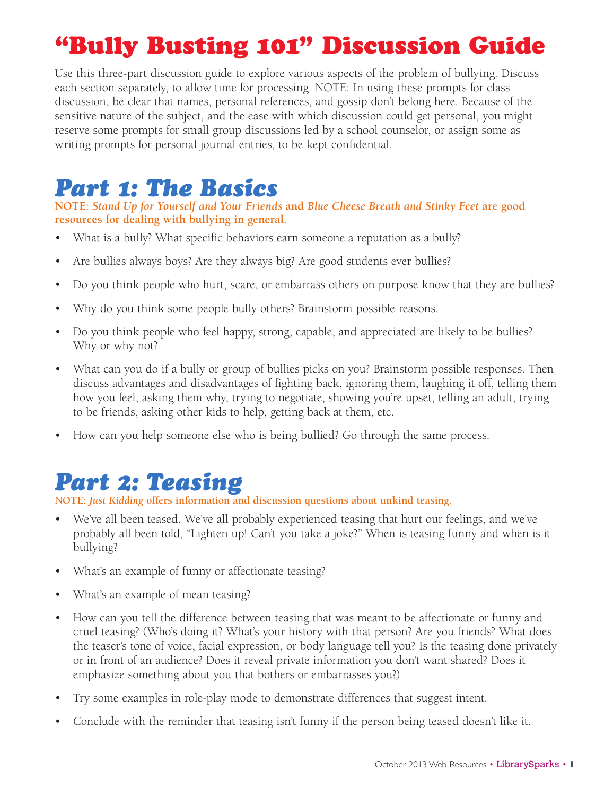# "Bully Busting 101" Discussion Guide

Use this three-part discussion guide to explore various aspects of the problem of bullying. Discuss each section separately, to allow time for processing. NOTE: In using these prompts for class discussion, be clear that names, personal references, and gossip don't belong here. Because of the sensitive nature of the subject, and the ease with which discussion could get personal, you might reserve some prompts for small group discussions led by a school counselor, or assign some as writing prompts for personal journal entries, to be kept confidential.

## *Part 1: The Basics*

**NOTE:** *Stand Up for Yourself and Your Friends* **and** *Blue Cheese Breath and Stinky Feet* **are good resources for dealing with bullying in general.**

- What is a bully? What specific behaviors earn someone a reputation as a bully?
- Are bullies always boys? Are they always big? Are good students ever bullies?
- Do you think people who hurt, scare, or embarrass others on purpose know that they are bullies?
- Why do you think some people bully others? Brainstorm possible reasons.
- Do you think people who feel happy, strong, capable, and appreciated are likely to be bullies? Why or why not?
- What can you do if a bully or group of bullies picks on you? Brainstorm possible responses. Then discuss advantages and disadvantages of fighting back, ignoring them, laughing it off, telling them how you feel, asking them why, trying to negotiate, showing you're upset, telling an adult, trying to be friends, asking other kids to help, getting back at them, etc.
- How can you help someone else who is being bullied? Go through the same process.

# *Part 2: Teasing*

**NOTE:** *Just Kidding* **offers information and discussion questions about unkind teasing.**

- We've all been teased. We've all probably experienced teasing that hurt our feelings, and we've probably all been told, "Lighten up! Can't you take a joke?" When is teasing funny and when is it bullying?
- What's an example of funny or affectionate teasing?
- What's an example of mean teasing?
- How can you tell the difference between teasing that was meant to be affectionate or funny and cruel teasing? (Who's doing it? What's your history with that person? Are you friends? What does the teaser's tone of voice, facial expression, or body language tell you? Is the teasing done privately or in front of an audience? Does it reveal private information you don't want shared? Does it emphasize something about you that bothers or embarrasses you?)
- Try some examples in role-play mode to demonstrate differences that suggest intent.
- Conclude with the reminder that teasing isn't funny if the person being teased doesn't like it.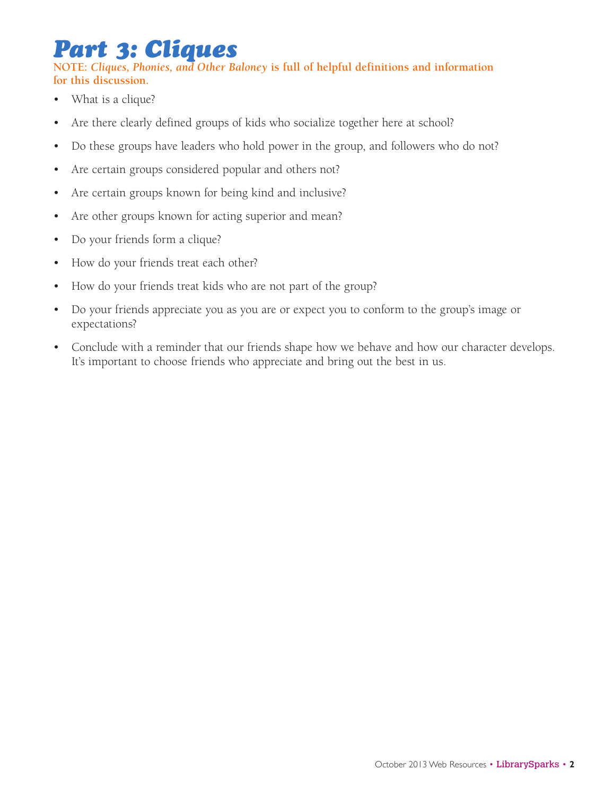## *Part 3: Cliques*

**NOTE:** *Cliques, Phonies, and Other Baloney* **is full of helpful definitions and information for this discussion.**

- What is a clique?
- Are there clearly defined groups of kids who socialize together here at school?
- Do these groups have leaders who hold power in the group, and followers who do not?
- Are certain groups considered popular and others not?
- Are certain groups known for being kind and inclusive?
- Are other groups known for acting superior and mean?
- Do your friends form a clique?
- • How do your friends treat each other?
- How do your friends treat kids who are not part of the group?
- Do your friends appreciate you as you are or expect you to conform to the group's image or expectations?
- Conclude with a reminder that our friends shape how we behave and how our character develops. It's important to choose friends who appreciate and bring out the best in us.